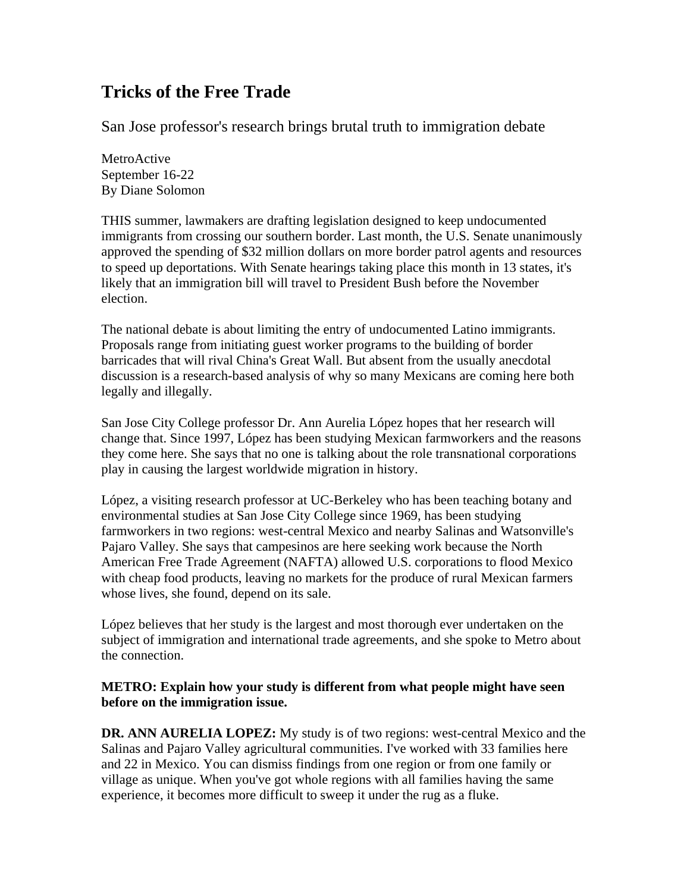# **Tricks of the Free Trade**

San Jose professor's research brings brutal truth to immigration debate

MetroActive September 16-22 By Diane Solomon

THIS summer, lawmakers are drafting legislation designed to keep undocumented immigrants from crossing our southern border. Last month, the U.S. Senate unanimously approved the spending of \$32 million dollars on more border patrol agents and resources to speed up deportations. With Senate hearings taking place this month in 13 states, it's likely that an immigration bill will travel to President Bush before the November election.

The national debate is about limiting the entry of undocumented Latino immigrants. Proposals range from initiating guest worker programs to the building of border barricades that will rival China's Great Wall. But absent from the usually anecdotal discussion is a research-based analysis of why so many Mexicans are coming here both legally and illegally.

San Jose City College professor Dr. Ann Aurelia López hopes that her research will change that. Since 1997, López has been studying Mexican farmworkers and the reasons they come here. She says that no one is talking about the role transnational corporations play in causing the largest worldwide migration in history.

López, a visiting research professor at UC-Berkeley who has been teaching botany and environmental studies at San Jose City College since 1969, has been studying farmworkers in two regions: west-central Mexico and nearby Salinas and Watsonville's Pajaro Valley. She says that campesinos are here seeking work because the North American Free Trade Agreement (NAFTA) allowed U.S. corporations to flood Mexico with cheap food products, leaving no markets for the produce of rural Mexican farmers whose lives, she found, depend on its sale.

López believes that her study is the largest and most thorough ever undertaken on the subject of immigration and international trade agreements, and she spoke to Metro about the connection.

## **METRO: Explain how your study is different from what people might have seen before on the immigration issue.**

**DR. ANN AURELIA LOPEZ:** My study is of two regions: west-central Mexico and the Salinas and Pajaro Valley agricultural communities. I've worked with 33 families here and 22 in Mexico. You can dismiss findings from one region or from one family or village as unique. When you've got whole regions with all families having the same experience, it becomes more difficult to sweep it under the rug as a fluke.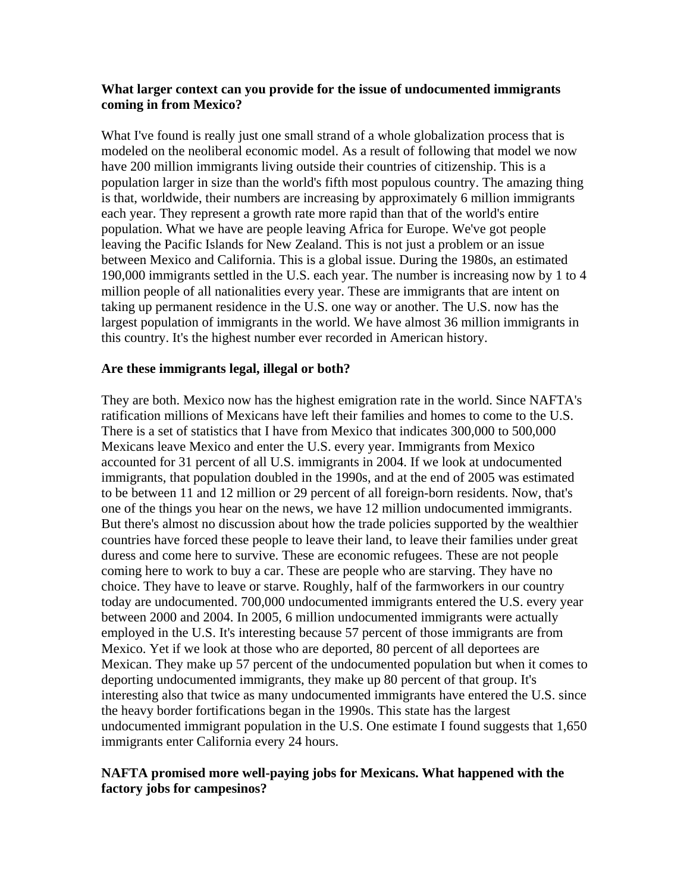#### **What larger context can you provide for the issue of undocumented immigrants coming in from Mexico?**

What I've found is really just one small strand of a whole globalization process that is modeled on the neoliberal economic model. As a result of following that model we now have 200 million immigrants living outside their countries of citizenship. This is a population larger in size than the world's fifth most populous country. The amazing thing is that, worldwide, their numbers are increasing by approximately 6 million immigrants each year. They represent a growth rate more rapid than that of the world's entire population. What we have are people leaving Africa for Europe. We've got people leaving the Pacific Islands for New Zealand. This is not just a problem or an issue between Mexico and California. This is a global issue. During the 1980s, an estimated 190,000 immigrants settled in the U.S. each year. The number is increasing now by 1 to 4 million people of all nationalities every year. These are immigrants that are intent on taking up permanent residence in the U.S. one way or another. The U.S. now has the largest population of immigrants in the world. We have almost 36 million immigrants in this country. It's the highest number ever recorded in American history.

#### **Are these immigrants legal, illegal or both?**

They are both. Mexico now has the highest emigration rate in the world. Since NAFTA's ratification millions of Mexicans have left their families and homes to come to the U.S. There is a set of statistics that I have from Mexico that indicates 300,000 to 500,000 Mexicans leave Mexico and enter the U.S. every year. Immigrants from Mexico accounted for 31 percent of all U.S. immigrants in 2004. If we look at undocumented immigrants, that population doubled in the 1990s, and at the end of 2005 was estimated to be between 11 and 12 million or 29 percent of all foreign-born residents. Now, that's one of the things you hear on the news, we have 12 million undocumented immigrants. But there's almost no discussion about how the trade policies supported by the wealthier countries have forced these people to leave their land, to leave their families under great duress and come here to survive. These are economic refugees. These are not people coming here to work to buy a car. These are people who are starving. They have no choice. They have to leave or starve. Roughly, half of the farmworkers in our country today are undocumented. 700,000 undocumented immigrants entered the U.S. every year between 2000 and 2004. In 2005, 6 million undocumented immigrants were actually employed in the U.S. It's interesting because 57 percent of those immigrants are from Mexico. Yet if we look at those who are deported, 80 percent of all deportees are Mexican. They make up 57 percent of the undocumented population but when it comes to deporting undocumented immigrants, they make up 80 percent of that group. It's interesting also that twice as many undocumented immigrants have entered the U.S. since the heavy border fortifications began in the 1990s. This state has the largest undocumented immigrant population in the U.S. One estimate I found suggests that 1,650 immigrants enter California every 24 hours.

## **NAFTA promised more well-paying jobs for Mexicans. What happened with the factory jobs for campesinos?**